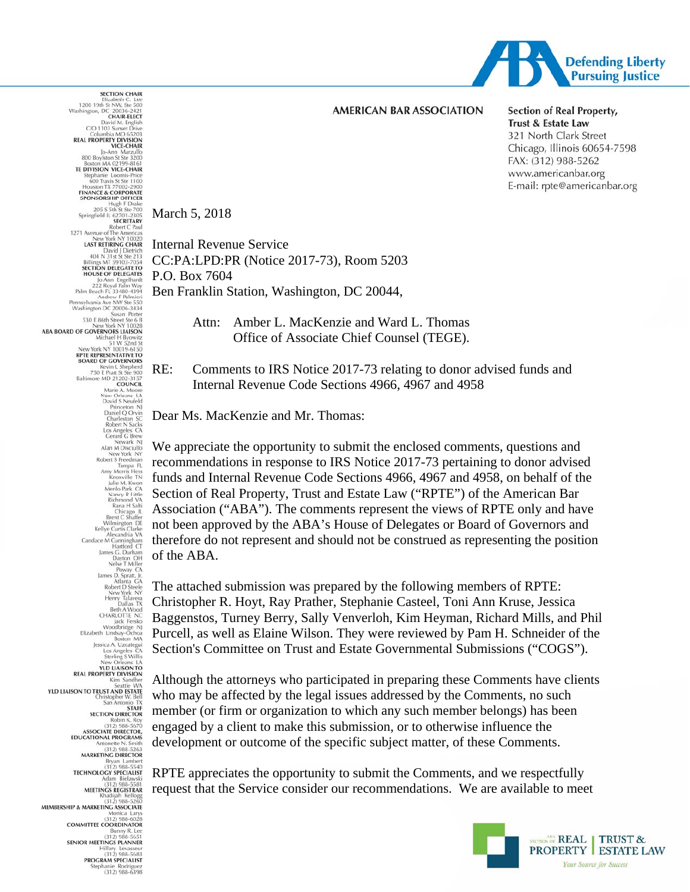

#### **AMERICAN BAR ASSOCIATION**

**Section of Real Property,** Trust & Estate Law 321 North Clark Street Chicago, Illinois 60654-7598 FAX: (312) 988-5262 www.americanbar.org E-mail: rpte@americanbar.org

March 5, 2018

**SECTION CHAIR** 

Internal Revenue Service CC:PA:LPD:PR (Notice 2017-73), Room 5203 P.O. Box 7604 Ben Franklin Station, Washington, DC 20044,

> Attn: Amber L. MacKenzie and Ward L. Thomas Office of Associate Chief Counsel (TEGE).

RE: Comments to IRS Notice 2017-73 relating to donor advised funds and Internal Revenue Code Sections 4966, 4967 and 4958

Dear Ms. MacKenzie and Mr. Thomas:

We appreciate the opportunity to submit the enclosed comments, questions and recommendations in response to IRS Notice 2017-73 pertaining to donor advised funds and Internal Revenue Code Sections 4966, 4967 and 4958, on behalf of the Section of Real Property, Trust and Estate Law ("RPTE") of the American Bar Association ("ABA"). The comments represent the views of RPTE only and have not been approved by the ABA's House of Delegates or Board of Governors and therefore do not represent and should not be construed as representing the position of the ABA.

The attached submission was prepared by the following members of RPTE: Christopher R. Hoyt, Ray Prather, Stephanie Casteel, Toni Ann Kruse, Jessica Baggenstos, Turney Berry, Sally Venverloh, Kim Heyman, Richard Mills, and Phil Purcell, as well as Elaine Wilson. They were reviewed by Pam H. Schneider of the Section's Committee on Trust and Estate Governmental Submissions ("COGS").

Although the attorneys who participated in preparing these Comments have clients who may be affected by the legal issues addressed by the Comments, no such member (or firm or organization to which any such member belongs) has been engaged by a client to make this submission, or to otherwise influence the development or outcome of the specific subject matter, of these Comments.

RPTE appreciates the opportunity to submit the Comments, and we respectfully request that the Service consider our recommendations. We are available to meet



Elizabeth C. Lee<br>1200 19th St NW, Ste 500<br>CHAIR-ELECT<br>CHAIR-ELECT **CHAIR-ELECT**<br>David M. English<br>C/O 1103 Sunset Drive<br>Columbia MO 65203 Columbia MO 65203<br> **REAL PROPERTY DIVISION<br>
VICE-CHAIR<br>
SOO Boylston St Ste 3200<br>
Boston MA 02199-8161** TE DIVISION VICE-CHAIR epnanie<br>600 Trav  $Sto 1100$ **FINANCE & CORPORATE**<br>SPONSORSHIP OFFICER High F Drake<br>205 S 5th St Ste 700<br>Springfield IL 62701-2305<br>SECRETARY Robert C Paul<br>Robert C Paul<br>1271 Avenue of The Americas New York NY 10020<br>LAST RETIRING CHAIR David J Dietrich<br>404 N 31st St Ste 213<br>Billings MT 59103-7054<br>SECTION DELEGATE TO<br>HOUSE OF DELEGATES Jo Ann Engelhardt<br>222 Royal Palm Way<br>Palm Beach FL 33480-4394 Andrew F Palmieri<br>Pennsylvania Ave NW Ste 550<br>Washington DC 20006-3434<br>Susan Porter Susan Porter<br>530 E 86th Street Ste 6 B New York NY 10028<br>ABA BOARD OF GOVERNORS LIAISON 51 W 52nd St<br>76-150 rk NY 10019 RPTE REPRESENTATIVE TO<br>BOARD OF GOVERNORS BOARD OF GOVERNORS<br>
Kevin L Shepherd<br>
750 E Pratt St Ste 900<br>
Baltimore MD 21202-3157<br>
COUNCIL<br>
Marie A. Moore<br>
New Orleans New Orleans LA<br>David S Neufeld Prin  $\overline{N}$ Princeton NJ<br>Daniel Q Orvin<br>Charleston SC<br>Robert N Sacks<br>Los Angeles CA<br>Cerard G Brew Los Angeles CA<br>
Cerard G Brew<br>
Man Miscillo<br>
New York NY<br>
New York NY<br>
New York NY<br>
New York NY<br>
New York NY<br>
Tampa FL<br>
Tampa FL<br>
Amy Morris Hess<br>
Man Miscillo<br>
Thington NY<br>
Namely Railie<br>
Chicago IL<br>
Chicago IL<br>
Service C France Desember 2012<br>
Atlanta GA<br>
Robert D'Steele New York NY<br>
New York NY<br>
Henry Talavera<br>
Beth A Wood Tech<br>
CHARLOTTE NC<br>
USE CHARLOTTE NC<br>
Woodbridge NJ<br>
Elizabeth Lindsay-Ochoa<br>
Jessica A, Uzcategui<br>
Liss Angeles CA<br>
S **VLD HAISON TO REAL PROPERTY DIVISION** Seattle WA<br>**YLD LIAISON TO TRUST AND ESTATE**<br>Christopher W. Bell San Anton STAFF<br>SECTION DIRECTOR Robin K. Roy<br>(312) 988-5670<br>ASSOCIATE DIRECTOR,<br>EDUCATIONAL PROGRAMS MARKETING DIRECTOR **TECHNOLOGY SPECIALIST** MEETINGS REGISTRAR MEMBERSHIP & MARKETING ASSOCIATE (312) 988-6028<br>COMMITTEE COORDINATOR SENIOR MEETINGS PLANNER 312) 988-5683<br>PROGRAM SPECIALIST Stephanie Rodriguez<br>312) 988-6398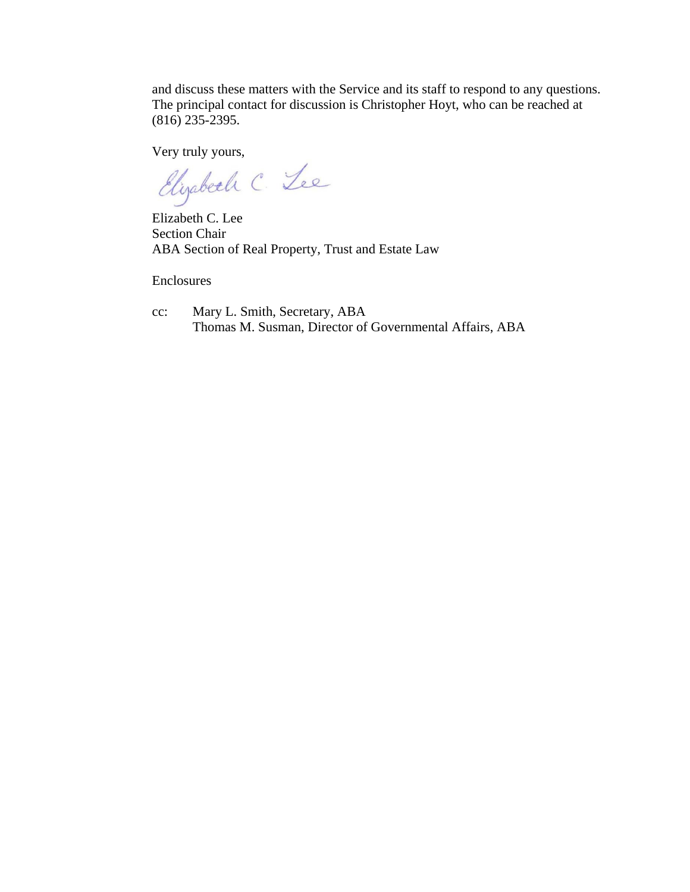and discuss these matters with the Service and its staff to respond to any questions. The principal contact for discussion is Christopher Hoyt, who can be reached at (816) 235-2395.

Very truly yours,<br>Elizabeth C. Lee

Elizabeth C. Lee Section Chair ABA Section of Real Property, Trust and Estate Law

Enclosures

cc: Mary L. Smith, Secretary, ABA Thomas M. Susman, Director of Governmental Affairs, ABA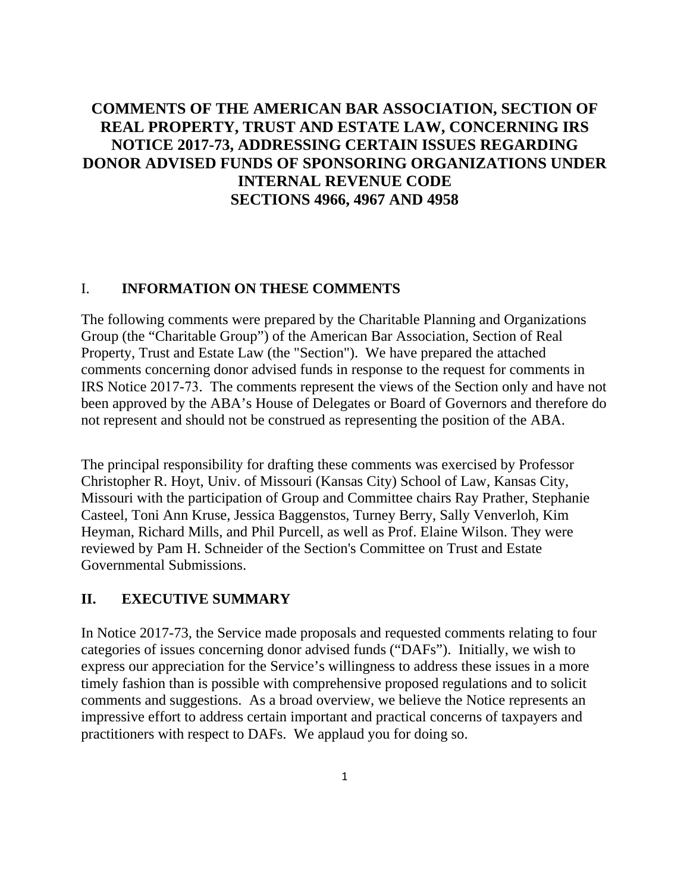# **COMMENTS OF THE AMERICAN BAR ASSOCIATION, SECTION OF REAL PROPERTY, TRUST AND ESTATE LAW, CONCERNING IRS NOTICE 2017-73, ADDRESSING CERTAIN ISSUES REGARDING DONOR ADVISED FUNDS OF SPONSORING ORGANIZATIONS UNDER INTERNAL REVENUE CODE SECTIONS 4966, 4967 AND 4958**

#### I. **INFORMATION ON THESE COMMENTS**

The following comments were prepared by the Charitable Planning and Organizations Group (the "Charitable Group") of the American Bar Association, Section of Real Property, Trust and Estate Law (the "Section"). We have prepared the attached comments concerning donor advised funds in response to the request for comments in IRS Notice 2017-73. The comments represent the views of the Section only and have not been approved by the ABA's House of Delegates or Board of Governors and therefore do not represent and should not be construed as representing the position of the ABA.

The principal responsibility for drafting these comments was exercised by Professor Christopher R. Hoyt, Univ. of Missouri (Kansas City) School of Law, Kansas City, Missouri with the participation of Group and Committee chairs Ray Prather, Stephanie Casteel, Toni Ann Kruse, Jessica Baggenstos, Turney Berry, Sally Venverloh, Kim Heyman, Richard Mills, and Phil Purcell, as well as Prof. Elaine Wilson. They were reviewed by Pam H. Schneider of the Section's Committee on Trust and Estate Governmental Submissions.

#### **II. EXECUTIVE SUMMARY**

In Notice 2017-73, the Service made proposals and requested comments relating to four categories of issues concerning donor advised funds ("DAFs"). Initially, we wish to express our appreciation for the Service's willingness to address these issues in a more timely fashion than is possible with comprehensive proposed regulations and to solicit comments and suggestions. As a broad overview, we believe the Notice represents an impressive effort to address certain important and practical concerns of taxpayers and practitioners with respect to DAFs. We applaud you for doing so.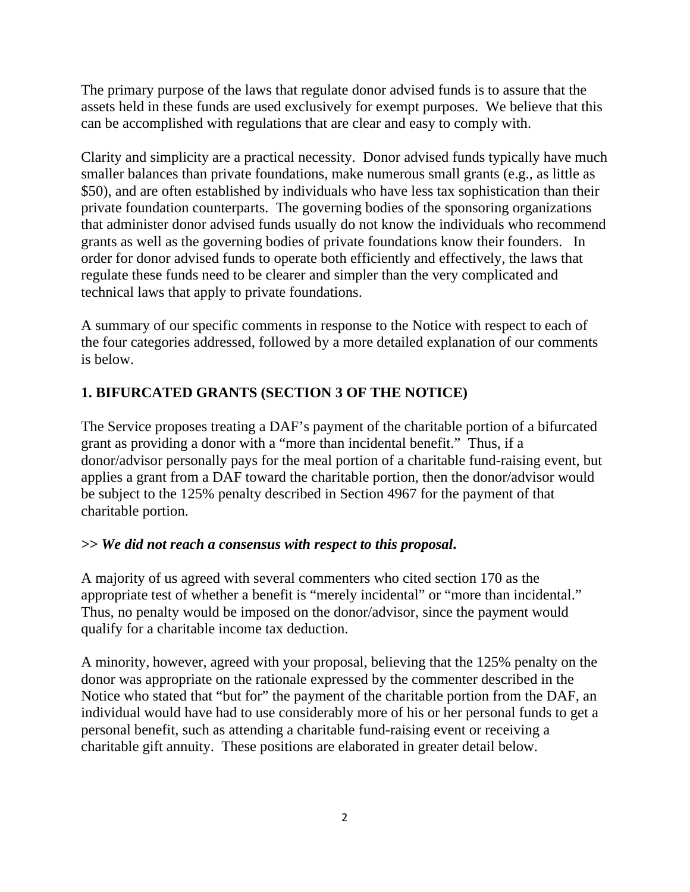The primary purpose of the laws that regulate donor advised funds is to assure that the assets held in these funds are used exclusively for exempt purposes. We believe that this can be accomplished with regulations that are clear and easy to comply with.

Clarity and simplicity are a practical necessity. Donor advised funds typically have much smaller balances than private foundations, make numerous small grants (e.g., as little as \$50), and are often established by individuals who have less tax sophistication than their private foundation counterparts. The governing bodies of the sponsoring organizations that administer donor advised funds usually do not know the individuals who recommend grants as well as the governing bodies of private foundations know their founders. In order for donor advised funds to operate both efficiently and effectively, the laws that regulate these funds need to be clearer and simpler than the very complicated and technical laws that apply to private foundations.

A summary of our specific comments in response to the Notice with respect to each of the four categories addressed, followed by a more detailed explanation of our comments is below.

# **1. BIFURCATED GRANTS (SECTION 3 OF THE NOTICE)**

The Service proposes treating a DAF's payment of the charitable portion of a bifurcated grant as providing a donor with a "more than incidental benefit." Thus, if a donor/advisor personally pays for the meal portion of a charitable fund-raising event, but applies a grant from a DAF toward the charitable portion, then the donor/advisor would be subject to the 125% penalty described in Section 4967 for the payment of that charitable portion.

## *>> We did not reach a consensus with respect to this proposal***.**

A majority of us agreed with several commenters who cited section 170 as the appropriate test of whether a benefit is "merely incidental" or "more than incidental." Thus, no penalty would be imposed on the donor/advisor, since the payment would qualify for a charitable income tax deduction.

A minority, however, agreed with your proposal, believing that the 125% penalty on the donor was appropriate on the rationale expressed by the commenter described in the Notice who stated that "but for" the payment of the charitable portion from the DAF, an individual would have had to use considerably more of his or her personal funds to get a personal benefit, such as attending a charitable fund-raising event or receiving a charitable gift annuity. These positions are elaborated in greater detail below.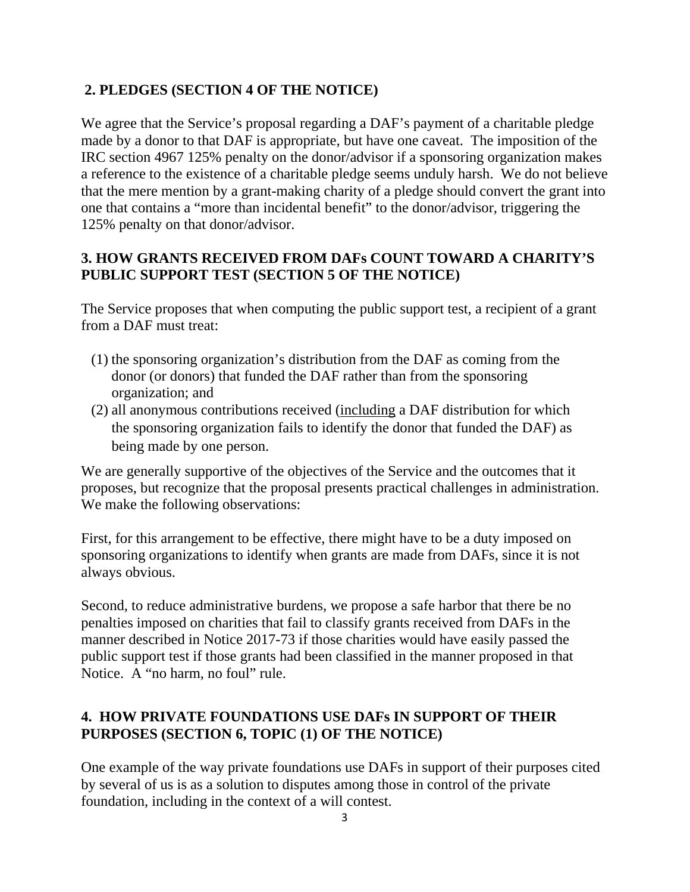# **2. PLEDGES (SECTION 4 OF THE NOTICE)**

We agree that the Service's proposal regarding a DAF's payment of a charitable pledge made by a donor to that DAF is appropriate, but have one caveat. The imposition of the IRC section 4967 125% penalty on the donor/advisor if a sponsoring organization makes a reference to the existence of a charitable pledge seems unduly harsh. We do not believe that the mere mention by a grant-making charity of a pledge should convert the grant into one that contains a "more than incidental benefit" to the donor/advisor, triggering the 125% penalty on that donor/advisor.

## **3. HOW GRANTS RECEIVED FROM DAFs COUNT TOWARD A CHARITY'S PUBLIC SUPPORT TEST (SECTION 5 OF THE NOTICE)**

The Service proposes that when computing the public support test, a recipient of a grant from a DAF must treat:

- (1) the sponsoring organization's distribution from the DAF as coming from the donor (or donors) that funded the DAF rather than from the sponsoring organization; and
- (2) all anonymous contributions received (including a DAF distribution for which the sponsoring organization fails to identify the donor that funded the DAF) as being made by one person.

We are generally supportive of the objectives of the Service and the outcomes that it proposes, but recognize that the proposal presents practical challenges in administration. We make the following observations:

First, for this arrangement to be effective, there might have to be a duty imposed on sponsoring organizations to identify when grants are made from DAFs, since it is not always obvious.

Second, to reduce administrative burdens, we propose a safe harbor that there be no penalties imposed on charities that fail to classify grants received from DAFs in the manner described in Notice 2017-73 if those charities would have easily passed the public support test if those grants had been classified in the manner proposed in that Notice. A "no harm, no foul" rule.

# **4. HOW PRIVATE FOUNDATIONS USE DAFs IN SUPPORT OF THEIR PURPOSES (SECTION 6, TOPIC (1) OF THE NOTICE)**

One example of the way private foundations use DAFs in support of their purposes cited by several of us is as a solution to disputes among those in control of the private foundation, including in the context of a will contest.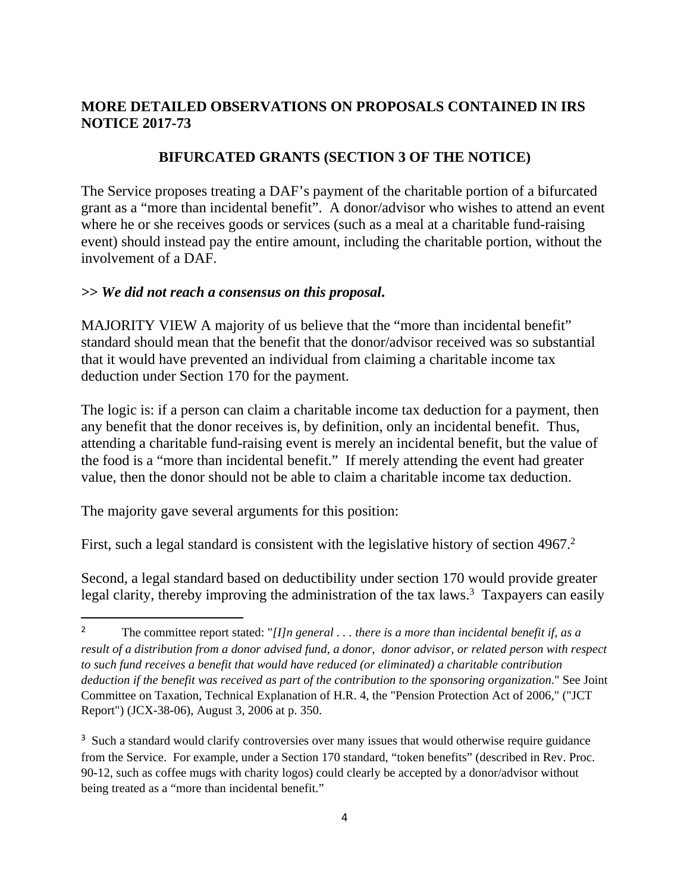### **MORE DETAILED OBSERVATIONS ON PROPOSALS CONTAINED IN IRS NOTICE 2017-73**

#### **BIFURCATED GRANTS (SECTION 3 OF THE NOTICE)**

The Service proposes treating a DAF's payment of the charitable portion of a bifurcated grant as a "more than incidental benefit". A donor/advisor who wishes to attend an event where he or she receives goods or services (such as a meal at a charitable fund-raising event) should instead pay the entire amount, including the charitable portion, without the involvement of a DAF.

#### *>> We did not reach a consensus on this proposal***.**

MAJORITY VIEW A majority of us believe that the "more than incidental benefit" standard should mean that the benefit that the donor/advisor received was so substantial that it would have prevented an individual from claiming a charitable income tax deduction under Section 170 for the payment.

The logic is: if a person can claim a charitable income tax deduction for a payment, then any benefit that the donor receives is, by definition, only an incidental benefit. Thus, attending a charitable fund-raising event is merely an incidental benefit, but the value of the food is a "more than incidental benefit." If merely attending the event had greater value, then the donor should not be able to claim a charitable income tax deduction.

The majority gave several arguments for this position:

First, such a legal standard is consistent with the legislative history of section  $4967$ .<sup>2</sup>

Second, a legal standard based on deductibility under section 170 would provide greater legal clarity, thereby improving the administration of the tax laws.<sup>3</sup> Taxpayers can easily

<sup>2</sup> The committee report stated: "*[I]n general . . . there is a more than incidental benefit if, as a result of a distribution from a donor advised fund, a donor, donor advisor, or related person with respect to such fund receives a benefit that would have reduced (or eliminated) a charitable contribution deduction if the benefit was received as part of the contribution to the sponsoring organization*." See Joint Committee on Taxation, Technical Explanation of H.R. 4, the "Pension Protection Act of 2006," ("JCT Report") (JCX-38-06), August 3, 2006 at p. 350.

<sup>&</sup>lt;sup>3</sup> Such a standard would clarify controversies over many issues that would otherwise require guidance from the Service. For example, under a Section 170 standard, "token benefits" (described in Rev. Proc. 90-12, such as coffee mugs with charity logos) could clearly be accepted by a donor/advisor without being treated as a "more than incidental benefit."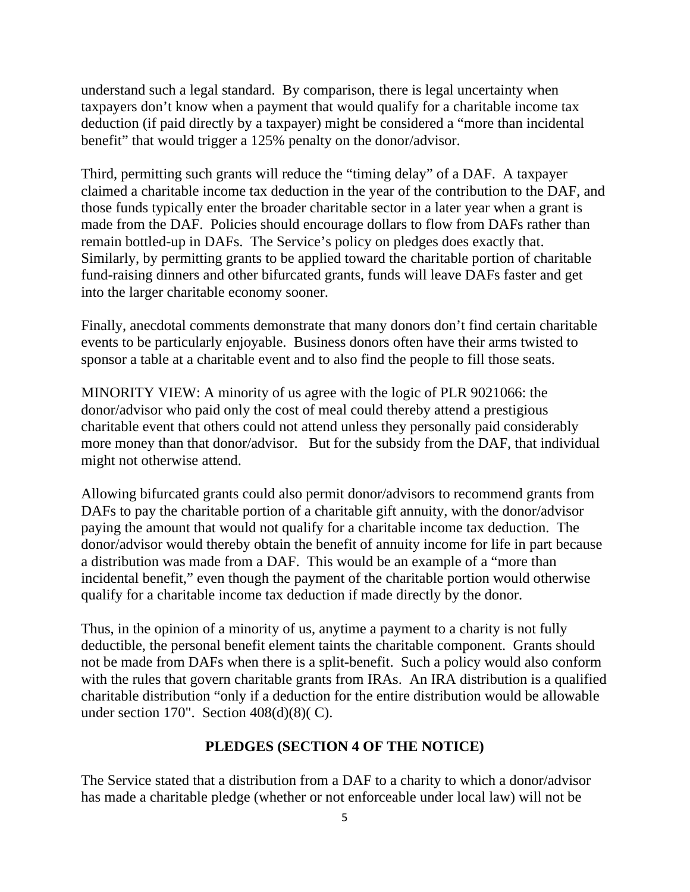understand such a legal standard. By comparison, there is legal uncertainty when taxpayers don't know when a payment that would qualify for a charitable income tax deduction (if paid directly by a taxpayer) might be considered a "more than incidental benefit" that would trigger a 125% penalty on the donor/advisor.

Third, permitting such grants will reduce the "timing delay" of a DAF. A taxpayer claimed a charitable income tax deduction in the year of the contribution to the DAF, and those funds typically enter the broader charitable sector in a later year when a grant is made from the DAF. Policies should encourage dollars to flow from DAFs rather than remain bottled-up in DAFs. The Service's policy on pledges does exactly that. Similarly, by permitting grants to be applied toward the charitable portion of charitable fund-raising dinners and other bifurcated grants, funds will leave DAFs faster and get into the larger charitable economy sooner.

Finally, anecdotal comments demonstrate that many donors don't find certain charitable events to be particularly enjoyable. Business donors often have their arms twisted to sponsor a table at a charitable event and to also find the people to fill those seats.

MINORITY VIEW: A minority of us agree with the logic of PLR 9021066: the donor/advisor who paid only the cost of meal could thereby attend a prestigious charitable event that others could not attend unless they personally paid considerably more money than that donor/advisor. But for the subsidy from the DAF, that individual might not otherwise attend.

Allowing bifurcated grants could also permit donor/advisors to recommend grants from DAFs to pay the charitable portion of a charitable gift annuity, with the donor/advisor paying the amount that would not qualify for a charitable income tax deduction. The donor/advisor would thereby obtain the benefit of annuity income for life in part because a distribution was made from a DAF. This would be an example of a "more than incidental benefit," even though the payment of the charitable portion would otherwise qualify for a charitable income tax deduction if made directly by the donor.

Thus, in the opinion of a minority of us, anytime a payment to a charity is not fully deductible, the personal benefit element taints the charitable component. Grants should not be made from DAFs when there is a split-benefit. Such a policy would also conform with the rules that govern charitable grants from IRAs. An IRA distribution is a qualified charitable distribution "only if a deduction for the entire distribution would be allowable under section 170". Section 408(d)(8)( C).

#### **PLEDGES (SECTION 4 OF THE NOTICE)**

The Service stated that a distribution from a DAF to a charity to which a donor/advisor has made a charitable pledge (whether or not enforceable under local law) will not be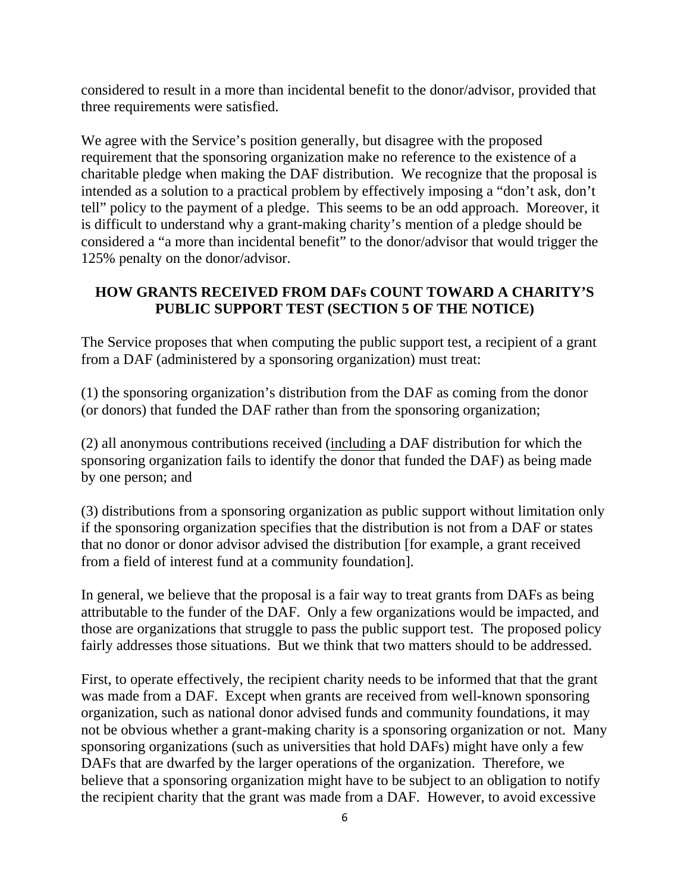considered to result in a more than incidental benefit to the donor/advisor, provided that three requirements were satisfied.

We agree with the Service's position generally, but disagree with the proposed requirement that the sponsoring organization make no reference to the existence of a charitable pledge when making the DAF distribution. We recognize that the proposal is intended as a solution to a practical problem by effectively imposing a "don't ask, don't tell" policy to the payment of a pledge. This seems to be an odd approach. Moreover, it is difficult to understand why a grant-making charity's mention of a pledge should be considered a "a more than incidental benefit" to the donor/advisor that would trigger the 125% penalty on the donor/advisor.

### **HOW GRANTS RECEIVED FROM DAFs COUNT TOWARD A CHARITY'S PUBLIC SUPPORT TEST (SECTION 5 OF THE NOTICE)**

The Service proposes that when computing the public support test, a recipient of a grant from a DAF (administered by a sponsoring organization) must treat:

(1) the sponsoring organization's distribution from the DAF as coming from the donor (or donors) that funded the DAF rather than from the sponsoring organization;

(2) all anonymous contributions received (including a DAF distribution for which the sponsoring organization fails to identify the donor that funded the DAF) as being made by one person; and

(3) distributions from a sponsoring organization as public support without limitation only if the sponsoring organization specifies that the distribution is not from a DAF or states that no donor or donor advisor advised the distribution [for example, a grant received from a field of interest fund at a community foundation].

In general, we believe that the proposal is a fair way to treat grants from DAFs as being attributable to the funder of the DAF. Only a few organizations would be impacted, and those are organizations that struggle to pass the public support test. The proposed policy fairly addresses those situations. But we think that two matters should to be addressed.

First, to operate effectively, the recipient charity needs to be informed that that the grant was made from a DAF. Except when grants are received from well-known sponsoring organization, such as national donor advised funds and community foundations, it may not be obvious whether a grant-making charity is a sponsoring organization or not. Many sponsoring organizations (such as universities that hold DAFs) might have only a few DAFs that are dwarfed by the larger operations of the organization. Therefore, we believe that a sponsoring organization might have to be subject to an obligation to notify the recipient charity that the grant was made from a DAF. However, to avoid excessive